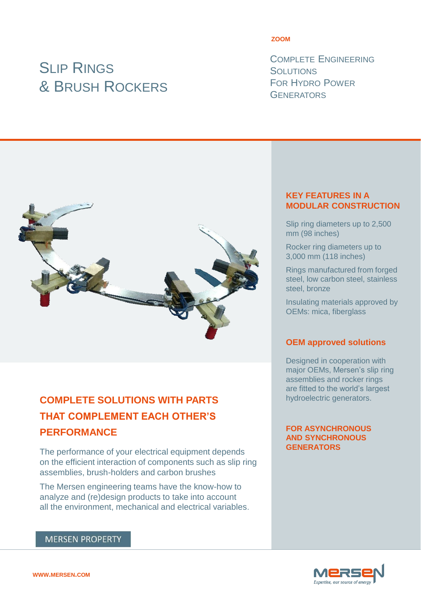# **SLIP RINGS** & BRUSH ROCKERS

#### **ZOOM**

COMPLETE ENGINEERING **SOLUTIONS** FOR HYDRO POWER **GENERATORS** 



# **COMPLETE SOLUTIONS WITH PARTS THAT COMPLEMENT EACH OTHER'S PERFORMANCE**

The performance of your electrical equipment depends on the efficient interaction of components such as slip ring assemblies, brush-holders and carbon brushes

The Mersen engineering teams have the know-how to analyze and (re)design products to take into account all the environment, mechanical and electrical variables.

# **MERSEN PROPERTY**

#### **KEY FEATURES IN A MODULAR CONSTRUCTION**

Slip ring diameters up to 2,500 mm (98 inches)

Rocker ring diameters up to 3,000 mm (118 inches)

Rings manufactured from forged steel, low carbon steel, stainless steel, bronze

Insulating materials approved by OEMs: mica, fiberglass

## **OEM approved solutions**

Designed in cooperation with major OEMs, Mersen's slip ring assemblies and rocker rings are fitted to the world's largest hydroelectric generators.

#### **FOR ASYNCHRONOUS AND SYNCHRONOUS GENERATORS**